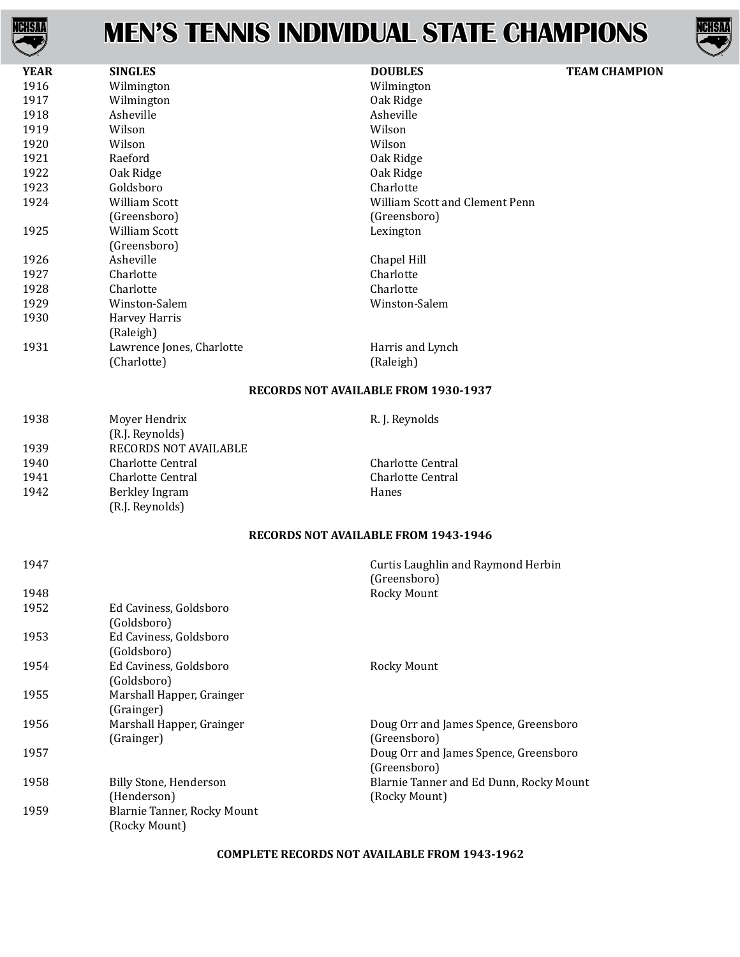



| <b>YEAR</b> | <b>SINGLES</b>            | <b>DOUBLES</b>                              | <b>TEAM CHAMPION</b> |
|-------------|---------------------------|---------------------------------------------|----------------------|
| 1916        | Wilmington                | Wilmington                                  |                      |
| 1917        | Wilmington                | Oak Ridge                                   |                      |
| 1918        | Asheville                 | Asheville                                   |                      |
| 1919        | Wilson                    | Wilson                                      |                      |
| 1920        | Wilson                    | Wilson                                      |                      |
| 1921        | Raeford                   | Oak Ridge                                   |                      |
| 1922        | Oak Ridge                 | Oak Ridge                                   |                      |
| 1923        | Goldsboro                 | Charlotte                                   |                      |
| 1924        | <b>William Scott</b>      | William Scott and Clement Penn              |                      |
|             | (Greensboro)              | (Greensboro)                                |                      |
| 1925        | William Scott             | Lexington                                   |                      |
|             | (Greensboro)              |                                             |                      |
| 1926        | Asheville                 | Chapel Hill                                 |                      |
| 1927        | Charlotte                 | Charlotte                                   |                      |
| 1928        | Charlotte                 | Charlotte                                   |                      |
| 1929        | Winston-Salem             | Winston-Salem                               |                      |
| 1930        | Harvey Harris             |                                             |                      |
|             | (Raleigh)                 |                                             |                      |
| 1931        | Lawrence Jones, Charlotte | Harris and Lynch                            |                      |
|             | (Charlotte)               | (Raleigh)                                   |                      |
|             |                           | <b>RECORDS NOT AVAILABLE FROM 1930-1937</b> |                      |
| 1938        | Moyer Hendrix             | R. J. Reynolds                              |                      |
|             | (R.J. Reynolds)           |                                             |                      |
| 1939        | RECORDS NOT AVAILABLE     |                                             |                      |
| 1940        | <b>Charlotte Central</b>  | <b>Charlotte Central</b>                    |                      |
| 1941        | Charlotte Central         | <b>Charlotte Central</b>                    |                      |
| 1942        | Berkley Ingram            | Hanes                                       |                      |
|             |                           |                                             |                      |

### **RECORDS NOT AVAILABLE FROM 1943-1946**

| 1947 |                                                     | Curtis Laughlin and Raymond Herbin<br>(Greensboro)       |
|------|-----------------------------------------------------|----------------------------------------------------------|
| 1948 |                                                     | <b>Rocky Mount</b>                                       |
| 1952 | Ed Caviness, Goldsboro<br>(Goldsboro)               |                                                          |
| 1953 | Ed Caviness, Goldsboro<br>(Goldsboro)               |                                                          |
| 1954 | Ed Caviness, Goldsboro<br>(Goldsboro)               | Rocky Mount                                              |
| 1955 | Marshall Happer, Grainger<br>(Grainger)             |                                                          |
| 1956 | Marshall Happer, Grainger<br>(Grainger)             | Doug Orr and James Spence, Greensboro<br>(Greensboro)    |
| 1957 |                                                     | Doug Orr and James Spence, Greensboro<br>(Greensboro)    |
| 1958 | Billy Stone, Henderson<br>(Henderson)               | Blarnie Tanner and Ed Dunn, Rocky Mount<br>(Rocky Mount) |
| 1959 | <b>Blarnie Tanner, Rocky Mount</b><br>(Rocky Mount) |                                                          |

(R.J. Reynolds)

### **COMPLETE RECORDS NOT AVAILABLE FROM 1943-1962**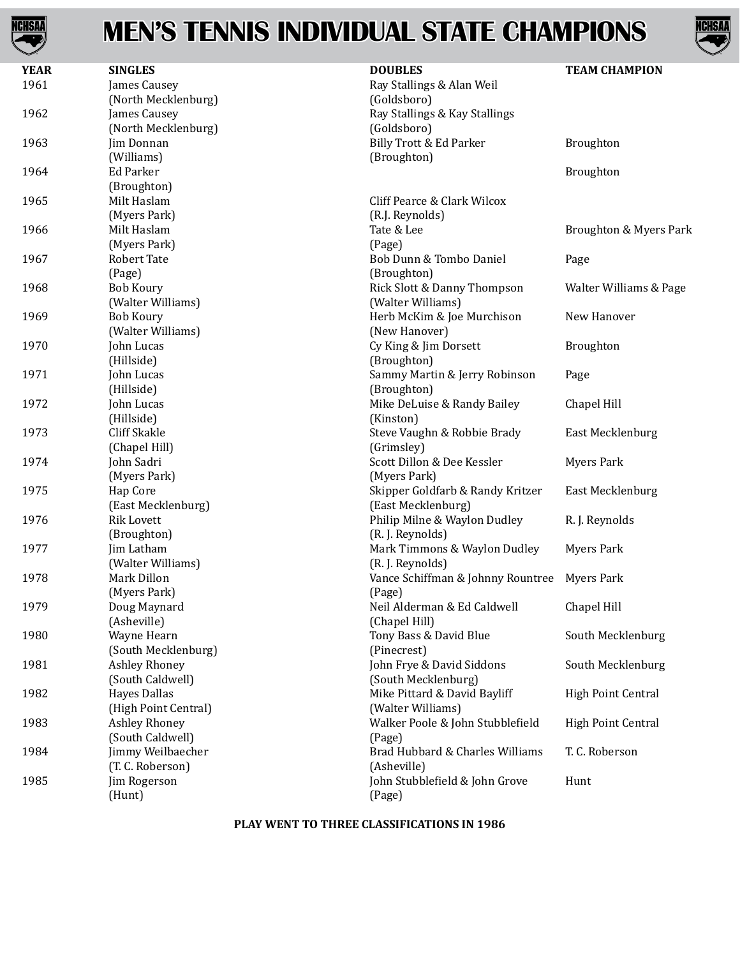



| <b>YEAR</b> | <b>SINGLES</b>       | <b>DOUBLES</b>                               | <b>TEAM CHAMPION</b>   |
|-------------|----------------------|----------------------------------------------|------------------------|
| 1961        | James Causey         | Ray Stallings & Alan Weil                    |                        |
|             | (North Mecklenburg)  | (Goldsboro)                                  |                        |
| 1962        | James Causey         | Ray Stallings & Kay Stallings                |                        |
|             | (North Mecklenburg)  | (Goldsboro)                                  |                        |
| 1963        | Jim Donnan           | Billy Trott & Ed Parker                      | Broughton              |
|             | (Williams)           | (Broughton)                                  |                        |
| 1964        | Ed Parker            |                                              | Broughton              |
|             | (Broughton)          |                                              |                        |
| 1965        | Milt Haslam          | Cliff Pearce & Clark Wilcox                  |                        |
|             | (Myers Park)         | (R.J. Reynolds)                              |                        |
| 1966        | Milt Haslam          | Tate & Lee                                   | Broughton & Myers Park |
|             | (Myers Park)         | (Page)                                       |                        |
| 1967        | <b>Robert Tate</b>   | Bob Dunn & Tombo Daniel                      | Page                   |
|             | (Page)               | (Broughton)                                  |                        |
| 1968        | <b>Bob Koury</b>     | Rick Slott & Danny Thompson                  | Walter Williams & Page |
|             | (Walter Williams)    | (Walter Williams)                            |                        |
| 1969        | <b>Bob Koury</b>     | Herb McKim & Joe Murchison                   | New Hanover            |
|             | (Walter Williams)    | (New Hanover)                                |                        |
| 1970        | John Lucas           | Cy King & Jim Dorsett                        | Broughton              |
|             | (Hillside)           | (Broughton)                                  |                        |
| 1971        | John Lucas           | Sammy Martin & Jerry Robinson                | Page                   |
|             | (Hillside)           | (Broughton)                                  |                        |
| 1972        | John Lucas           | Mike DeLuise & Randy Bailey                  | Chapel Hill            |
|             | (Hillside)           | (Kinston)                                    |                        |
| 1973        | Cliff Skakle         | Steve Vaughn & Robbie Brady                  | East Mecklenburg       |
|             | (Chapel Hill)        | (Grimsley)                                   |                        |
| 1974        | John Sadri           | Scott Dillon & Dee Kessler                   | <b>Myers Park</b>      |
|             |                      |                                              |                        |
| 1975        | (Myers Park)         | (Myers Park)                                 |                        |
|             | Hap Core             | Skipper Goldfarb & Randy Kritzer             | East Mecklenburg       |
|             | (East Mecklenburg)   | (East Mecklenburg)                           |                        |
| 1976        | <b>Rik Lovett</b>    | Philip Milne & Waylon Dudley                 | R. J. Reynolds         |
|             | (Broughton)          | (R.J. Reynolds)                              |                        |
| 1977        | Jim Latham           | Mark Timmons & Waylon Dudley                 | <b>Myers Park</b>      |
|             | (Walter Williams)    | (R.J. Reynolds)                              |                        |
| 1978        | Mark Dillon          | Vance Schiffman & Johnny Rountree Myers Park |                        |
|             | (Myers Park)         | (Page)                                       |                        |
| 1979        | Doug Maynard         | Neil Alderman & Ed Caldwell                  | Chapel Hill            |
|             | (Asheville)          | (Chapel Hill)                                |                        |
| 1980        | Wayne Hearn          | Tony Bass & David Blue                       | South Mecklenburg      |
|             | (South Mecklenburg)  | (Pinecrest)                                  |                        |
| 1981        | Ashley Rhoney        | John Frye & David Siddons                    | South Mecklenburg      |
|             | (South Caldwell)     | (South Mecklenburg)                          |                        |
| 1982        | <b>Hayes Dallas</b>  | Mike Pittard & David Bayliff                 | High Point Central     |
|             | (High Point Central) | (Walter Williams)                            |                        |
| 1983        | <b>Ashley Rhoney</b> | Walker Poole & John Stubblefield             | High Point Central     |
|             | (South Caldwell)     | (Page)                                       |                        |
| 1984        | Jimmy Weilbaecher    | Brad Hubbard & Charles Williams              | T.C. Roberson          |
|             | (T. C. Roberson)     | (Asheville)                                  |                        |
| 1985        | Jim Rogerson         | John Stubblefield & John Grove               | Hunt                   |
|             | (Hunt)               | (Page)                                       |                        |

#### **PLAY WENT TO THREE CLASSIFICATIONS IN 1986**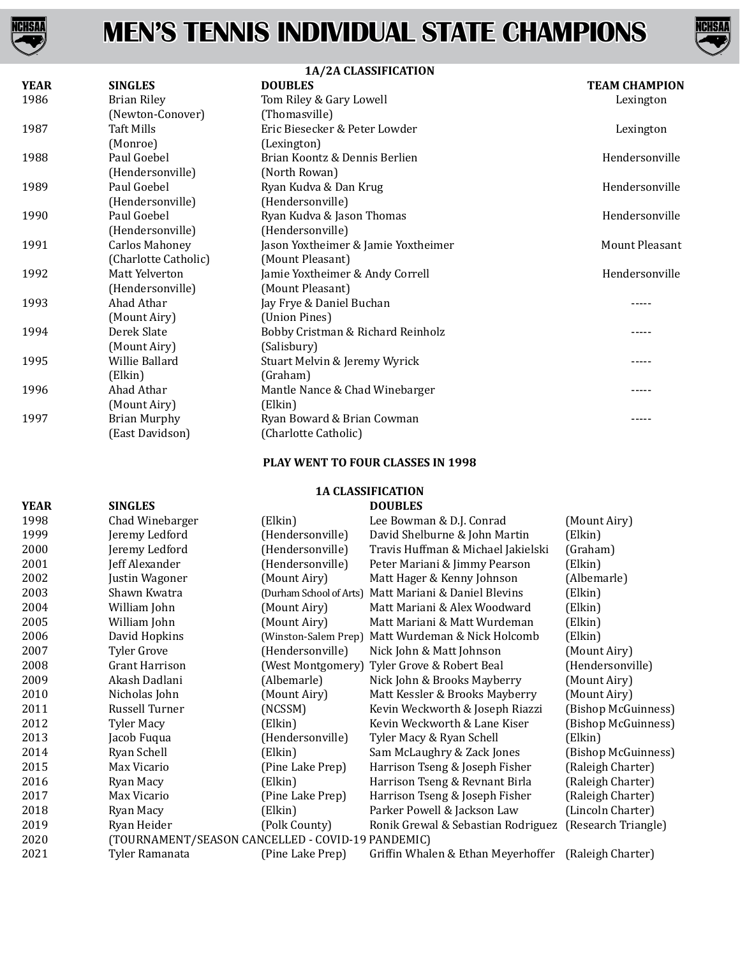



| 1A/2A CLASSIFICATION |                       |                                     |                      |
|----------------------|-----------------------|-------------------------------------|----------------------|
| <b>YEAR</b>          | <b>SINGLES</b>        | <b>DOUBLES</b>                      | <b>TEAM CHAMPION</b> |
| 1986                 | <b>Brian Riley</b>    | Tom Riley & Gary Lowell             | Lexington            |
|                      | (Newton-Conover)      | (Thomasville)                       |                      |
| 1987                 | Taft Mills            | Eric Biesecker & Peter Lowder       | Lexington            |
|                      | (Monroe)              | (Lexington)                         |                      |
| 1988                 | Paul Goebel           | Brian Koontz & Dennis Berlien       | Hendersonville       |
|                      | (Hendersonville)      | (North Rowan)                       |                      |
| 1989                 | Paul Goebel           | Ryan Kudva & Dan Krug               | Hendersonville       |
|                      | (Hendersonville)      | (Hendersonville)                    |                      |
| 1990                 | Paul Goebel           | Ryan Kudva & Jason Thomas           | Hendersonville       |
|                      | (Hendersonville)      | (Hendersonville)                    |                      |
| 1991                 | <b>Carlos Mahoney</b> | Jason Yoxtheimer & Jamie Yoxtheimer | Mount Pleasant       |
|                      | (Charlotte Catholic)  | (Mount Pleasant)                    |                      |
| 1992                 | Matt Yelverton        | Jamie Yoxtheimer & Andy Correll     | Hendersonville       |
|                      | (Hendersonville)      | (Mount Pleasant)                    |                      |
| 1993                 | Ahad Athar            | Jay Frye & Daniel Buchan            | -----                |
|                      | (Mount Airy)          | (Union Pines)                       |                      |
| 1994                 | Derek Slate           | Bobby Cristman & Richard Reinholz   |                      |
|                      | (Mount Airy)          | (Salisbury)                         |                      |
| 1995                 | Willie Ballard        | Stuart Melvin & Jeremy Wyrick       |                      |
|                      | (Elkin)               | (Graham)                            |                      |
| 1996                 | Ahad Athar            | Mantle Nance & Chad Winebarger      | -----                |
|                      | (Mount Airy)          | (Elkin)                             |                      |
| 1997                 | <b>Brian Murphy</b>   | Ryan Boward & Brian Cowman          | -----                |
|                      | (East Davidson)       | (Charlotte Catholic)                |                      |

### **PLAY WENT TO FOUR CLASSES IN 1998**

### **1A CLASSIFICATION**

| <b>YEAR</b> | <b>SINGLES</b> | <b>DOUBLES</b> |
|-------------|----------------|----------------|
|             |                |                |

| 1998 | Chad Winebarger                                   | (Elkin)                 | Lee Bowman & D.J. Conrad                             | (Mount Airy)        |
|------|---------------------------------------------------|-------------------------|------------------------------------------------------|---------------------|
| 1999 | Jeremy Ledford                                    | (Hendersonville)        | David Shelburne & John Martin                        | (Elkin)             |
| 2000 | Jeremy Ledford                                    | (Hendersonville)        | Travis Huffman & Michael Jakielski                   | (Graham)            |
| 2001 | Jeff Alexander                                    | (Hendersonville)        | Peter Mariani & Jimmy Pearson                        | (Elkin)             |
| 2002 | Justin Wagoner                                    | (Mount Airy)            | Matt Hager & Kenny Johnson                           | (Albemarle)         |
| 2003 | Shawn Kwatra                                      | (Durham School of Arts) | Matt Mariani & Daniel Blevins                        | (Elkin)             |
| 2004 | William John                                      | (Mount Airy)            | Matt Mariani & Alex Woodward                         | (Elkin)             |
| 2005 | William John                                      | (Mount Airy)            | Matt Mariani & Matt Wurdeman                         | (Elkin)             |
| 2006 | David Hopkins                                     | (Winston-Salem Prep)    | Matt Wurdeman & Nick Holcomb                         | (Elkin)             |
| 2007 | <b>Tyler Grove</b>                                | (Hendersonville)        | Nick John & Matt Johnson                             | (Mount Airy)        |
| 2008 | <b>Grant Harrison</b>                             | (West Montgomery)       | Tyler Grove & Robert Beal                            | (Hendersonville)    |
| 2009 | Akash Dadlani                                     | (Albemarle)             | Nick John & Brooks Mayberry                          | (Mount Airy)        |
| 2010 | Nicholas John                                     | (Mount Airy)            | Matt Kessler & Brooks Mayberry                       | (Mount Airy)        |
| 2011 | Russell Turner                                    | (NCSSM)                 | Kevin Weckworth & Joseph Riazzi                      | (Bishop McGuinness) |
| 2012 | <b>Tyler Macy</b>                                 | (Elkin)                 | Kevin Weckworth & Lane Kiser                         | (Bishop McGuinness) |
| 2013 | Jacob Fuqua                                       | (Hendersonville)        | Tyler Macy & Ryan Schell                             | (Elkin)             |
| 2014 | Ryan Schell                                       | (Elkin)                 | Sam McLaughry & Zack Jones                           | (Bishop McGuinness) |
| 2015 | Max Vicario                                       | (Pine Lake Prep)        | Harrison Tseng & Joseph Fisher                       | (Raleigh Charter)   |
| 2016 | Ryan Macy                                         | (Elkin)                 | Harrison Tseng & Revnant Birla                       | (Raleigh Charter)   |
| 2017 | Max Vicario                                       | (Pine Lake Prep)        | Harrison Tseng & Joseph Fisher                       | (Raleigh Charter)   |
| 2018 | Ryan Macy                                         | (Elkin)                 | Parker Powell & Jackson Law                          | (Lincoln Charter)   |
| 2019 | Ryan Heider                                       | (Polk County)           | Ronik Grewal & Sebastian Rodriguez                   | (Research Triangle) |
| 2020 | (TOURNAMENT/SEASON CANCELLED - COVID-19 PANDEMIC) |                         |                                                      |                     |
| 2021 | Tyler Ramanata                                    | (Pine Lake Prep)        | Griffin Whalen & Ethan Meyerhoffer (Raleigh Charter) |                     |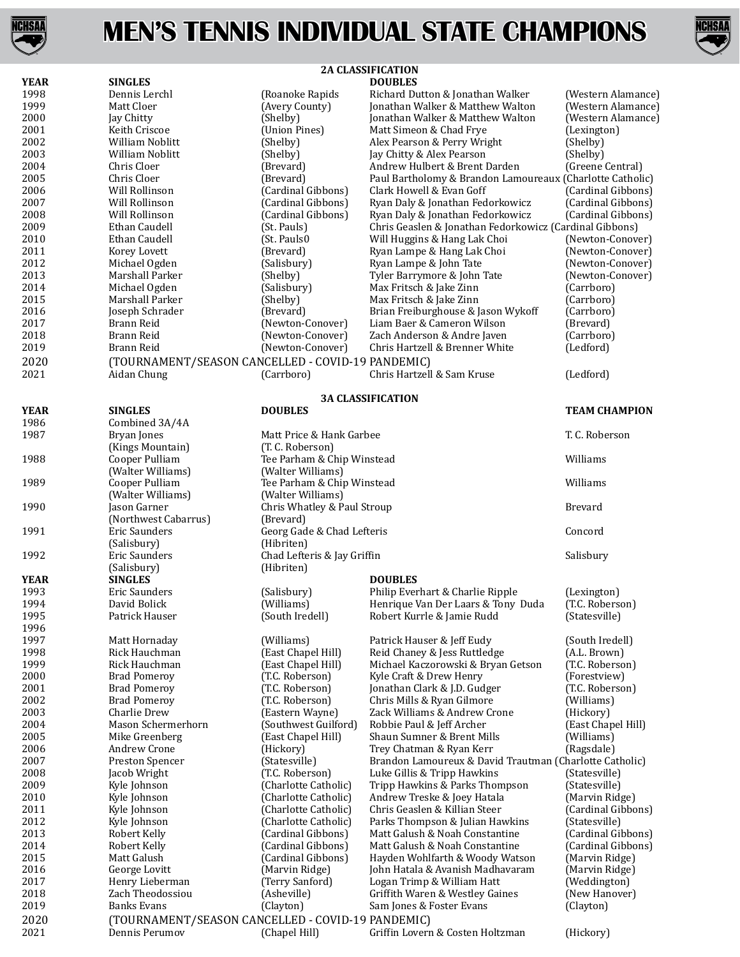



|              | <b>2A CLASSIFICATION</b>                          |                                              |                                                              |                                      |
|--------------|---------------------------------------------------|----------------------------------------------|--------------------------------------------------------------|--------------------------------------|
| <b>YEAR</b>  | <b>SINGLES</b>                                    |                                              | <b>DOUBLES</b>                                               |                                      |
| 1998         | Dennis Lerchl                                     | (Roanoke Rapids                              | Richard Dutton & Jonathan Walker                             | (Western Alamance)                   |
| 1999         | Matt Cloer                                        | (Avery County)                               | Jonathan Walker & Matthew Walton                             | (Western Alamance)                   |
| 2000         | Jay Chitty                                        | (Shelby)                                     | Jonathan Walker & Matthew Walton                             | (Western Alamance)                   |
| 2001         | Keith Criscoe                                     | (Union Pines)                                | Matt Simeon & Chad Frye                                      | (Lexington)                          |
| 2002         | <b>William Noblitt</b>                            | (Shelby)                                     | Alex Pearson & Perry Wright                                  | (Shelby)                             |
| 2003         | William Noblitt                                   | (Shelby)                                     | Jay Chitty & Alex Pearson                                    | (Shelby)                             |
| 2004         | Chris Cloer                                       | (Brevard)                                    | Andrew Hulbert & Brent Darden                                | (Greene Central)                     |
| 2005         | Chris Cloer                                       | (Brevard)                                    | Paul Bartholomy & Brandon Lamoureaux (Charlotte Catholic)    |                                      |
| 2006         | Will Rollinson                                    | (Cardinal Gibbons)                           | Clark Howell & Evan Goff                                     | (Cardinal Gibbons)                   |
| 2007         | Will Rollinson                                    | (Cardinal Gibbons)                           | Ryan Daly & Jonathan Fedorkowicz                             | (Cardinal Gibbons)                   |
| 2008         | Will Rollinson                                    | (Cardinal Gibbons)                           | Ryan Daly & Jonathan Fedorkowicz                             | (Cardinal Gibbons)                   |
| 2009         | Ethan Caudell                                     | (St. Pauls)                                  | Chris Geaslen & Jonathan Fedorkowicz (Cardinal Gibbons)      |                                      |
| 2010<br>2011 | Ethan Caudell<br>Korey Lovett                     | (St. Pauls0<br>(Brevard)                     | Will Huggins & Hang Lak Choi<br>Ryan Lampe & Hang Lak Choi   | (Newton-Conover)<br>(Newton-Conover) |
| 2012         | Michael Ogden                                     | (Salisbury)                                  | Ryan Lampe & John Tate                                       | (Newton-Conover)                     |
| 2013         | Marshall Parker                                   | (Shelby)                                     | Tyler Barrymore & John Tate                                  | (Newton-Conover)                     |
| 2014         | Michael Ogden                                     | (Salisbury)                                  | Max Fritsch & Jake Zinn                                      | (Carrboro)                           |
| 2015         | Marshall Parker                                   | (Shelby)                                     | Max Fritsch & Jake Zinn                                      | (Carrboro)                           |
| 2016         | Joseph Schrader                                   | (Brevard)                                    | Brian Freiburghouse & Jason Wykoff                           | (Carrboro)                           |
| 2017         | Brann Reid                                        | (Newton-Conover)                             | Liam Baer & Cameron Wilson                                   | (Brevard)                            |
| 2018         | Brann Reid                                        | (Newton-Conover)                             | Zach Anderson & Andre Javen                                  | (Carrboro)                           |
| 2019         | Brann Reid                                        | (Newton-Conover)                             | Chris Hartzell & Brenner White                               | (Ledford)                            |
| 2020         | (TOURNAMENT/SEASON CANCELLED - COVID-19 PANDEMIC) |                                              |                                                              |                                      |
| 2021         | Aidan Chung                                       | (Carrboro)                                   | Chris Hartzell & Sam Kruse                                   | (Ledford)                            |
|              |                                                   |                                              |                                                              |                                      |
|              |                                                   |                                              | <b>3A CLASSIFICATION</b>                                     |                                      |
| <b>YEAR</b>  | <b>SINGLES</b>                                    | <b>DOUBLES</b>                               |                                                              | <b>TEAM CHAMPION</b>                 |
| 1986         | Combined 3A/4A                                    |                                              |                                                              |                                      |
| 1987         | Bryan Jones                                       | Matt Price & Hank Garbee                     |                                                              | T. C. Roberson                       |
|              | (Kings Mountain)                                  | (T. C. Roberson)                             |                                                              |                                      |
| 1988         | Cooper Pulliam                                    | Tee Parham & Chip Winstead                   |                                                              | Williams                             |
|              | (Walter Williams)                                 | (Walter Williams)                            |                                                              |                                      |
| 1989         | Cooper Pulliam                                    | Tee Parham & Chip Winstead                   |                                                              | Williams                             |
|              | (Walter Williams)                                 | (Walter Williams)                            |                                                              |                                      |
| 1990         | Jason Garner                                      | Chris Whatley & Paul Stroup                  |                                                              | Brevard                              |
|              | (Northwest Cabarrus)                              | (Brevard)                                    |                                                              |                                      |
| 1991         | Eric Saunders                                     | Georg Gade & Chad Lefteris                   |                                                              | Concord                              |
| 1992         | (Salisbury)                                       | (Hibriten)<br>Chad Lefteris & Jay Griffin    |                                                              |                                      |
|              | Eric Saunders<br>(Salisbury)                      | (Hibriten)                                   |                                                              | Salisbury                            |
| <b>YEAR</b>  | <b>SINGLES</b>                                    |                                              | <b>DOUBLES</b>                                               |                                      |
| 1993         | <b>Eric Saunders</b>                              | (Salisbury)                                  | Philip Everhart & Charlie Ripple                             | (Lexington)                          |
| 1994         | David Bolick                                      | (Williams)                                   | Henrique Van Der Laars & Tony Duda                           | (T.C. Roberson)                      |
| 1995         | Patrick Hauser                                    | (South Iredell)                              | Robert Kurrle & Jamie Rudd                                   | (Statesville)                        |
| 1996         |                                                   |                                              |                                                              |                                      |
| 1997         | Matt Hornaday                                     | (Williams)                                   | Patrick Hauser & Jeff Eudy                                   | (South Iredell)                      |
| 1998         | Rick Hauchman                                     | (East Chapel Hill)                           | Reid Chaney & Jess Ruttledge                                 | (A.L. Brown)                         |
| 1999         | Rick Hauchman                                     | (East Chapel Hill)                           | Michael Kaczorowski & Bryan Getson                           | (T.C. Roberson)                      |
| 2000         | <b>Brad Pomeroy</b>                               | (T.C. Roberson)                              | Kyle Craft & Drew Henry                                      | (Forestview)                         |
| 2001         | <b>Brad Pomeroy</b>                               | (T.C. Roberson)                              | Jonathan Clark & J.D. Gudger                                 | (T.C. Roberson)                      |
| 2002         | <b>Brad Pomeroy</b>                               | (T.C. Roberson)                              | Chris Mills & Ryan Gilmore                                   | (Williams)                           |
| 2003         | Charlie Drew                                      | (Eastern Wayne)                              | Zack Williams & Andrew Crone                                 | (Hickory)                            |
| 2004         | Mason Schermerhorn                                | (Southwest Guilford)                         | Robbie Paul & Jeff Archer                                    | (East Chapel Hill)                   |
| 2005         | Mike Greenberg                                    | (East Chapel Hill)                           | Shaun Sumner & Brent Mills                                   | (Williams)                           |
| 2006         | Andrew Crone                                      | (Hickory)                                    | Trey Chatman & Ryan Kerr                                     | (Ragsdale)                           |
| 2007         | Preston Spencer                                   | (Statesville)                                | Brandon Lamoureux & David Trautman (Charlotte Catholic)      |                                      |
| 2008         | Jacob Wright                                      | (T.C. Roberson)                              | Luke Gillis & Tripp Hawkins                                  | (Statesville)                        |
| 2009         | Kyle Johnson                                      | (Charlotte Catholic)                         | Tripp Hawkins & Parks Thompson                               | (Statesville)                        |
| 2010<br>2011 | Kyle Johnson<br>Kyle Johnson                      | (Charlotte Catholic)<br>(Charlotte Catholic) | Andrew Treske & Joey Hatala<br>Chris Geaslen & Killian Steer | (Marvin Ridge)<br>(Cardinal Gibbons) |
| 2012         | Kyle Johnson                                      | (Charlotte Catholic)                         | Parks Thompson & Julian Hawkins                              | (Statesville)                        |
| 2013         | Robert Kelly                                      | (Cardinal Gibbons)                           | Matt Galush & Noah Constantine                               | (Cardinal Gibbons)                   |
| 2014         | Robert Kelly                                      | (Cardinal Gibbons)                           | Matt Galush & Noah Constantine                               | (Cardinal Gibbons)                   |
| 2015         | Matt Galush                                       | (Cardinal Gibbons)                           | Hayden Wohlfarth & Woody Watson                              | (Marvin Ridge)                       |
| 2016         | George Lovitt                                     | (Marvin Ridge)                               | John Hatala & Avanish Madhavaram                             | (Marvin Ridge)                       |
| 2017         | Henry Lieberman                                   | (Terry Sanford)                              | Logan Trimp & William Hatt                                   | (Weddington)                         |
| 2018         | Zach Theodossiou                                  | (Asheville)                                  | Griffith Waren & Westley Gaines                              | (New Hanover)                        |
| 2019         | Banks Evans                                       | (Clayton)                                    | Sam Jones & Foster Evans                                     | (Clayton)                            |
| 2020         | (TOURNAMENT/SEASON CANCELLED - COVID-19 PANDEMIC) |                                              |                                                              |                                      |
| 2021         | Dennis Perumov                                    | (Chapel Hill)                                | Griffin Lovern & Costen Holtzman                             | (Hickory)                            |